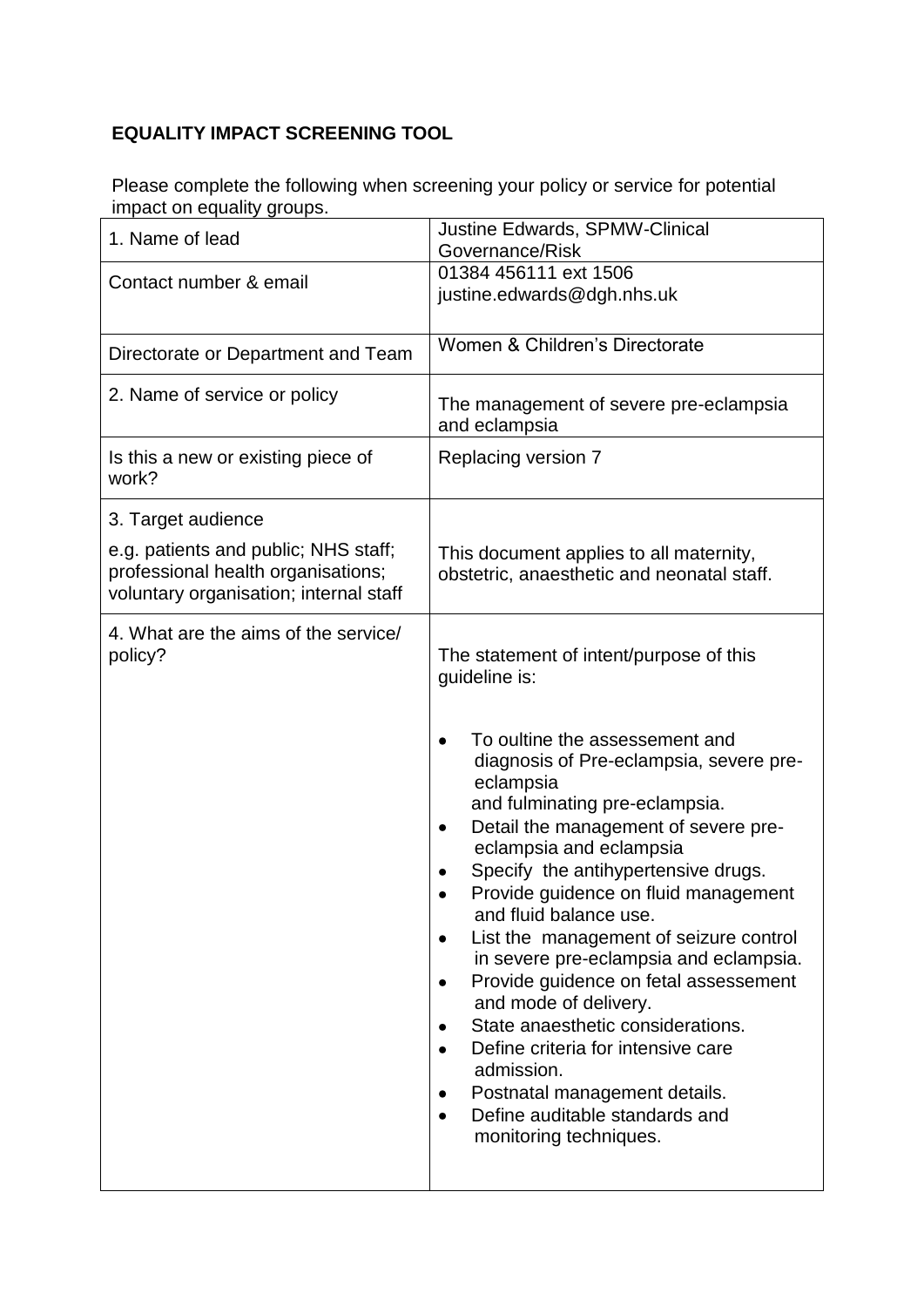## **EQUALITY IMPACT SCREENING TOOL**

Please complete the following when screening your policy or service for potential impact on equality groups.

| 1. Name of lead                                                            | <b>Justine Edwards, SPMW-Clinical</b><br>Governance/Risk                                                                                                                                                                                                                                                                                                                                                                                                                                                                                                                                                                                                   |
|----------------------------------------------------------------------------|------------------------------------------------------------------------------------------------------------------------------------------------------------------------------------------------------------------------------------------------------------------------------------------------------------------------------------------------------------------------------------------------------------------------------------------------------------------------------------------------------------------------------------------------------------------------------------------------------------------------------------------------------------|
| Contact number & email                                                     | 01384 456111 ext 1506                                                                                                                                                                                                                                                                                                                                                                                                                                                                                                                                                                                                                                      |
|                                                                            | justine.edwards@dgh.nhs.uk                                                                                                                                                                                                                                                                                                                                                                                                                                                                                                                                                                                                                                 |
| Directorate or Department and Team                                         | Women & Children's Directorate                                                                                                                                                                                                                                                                                                                                                                                                                                                                                                                                                                                                                             |
| 2. Name of service or policy                                               | The management of severe pre-eclampsia<br>and eclampsia                                                                                                                                                                                                                                                                                                                                                                                                                                                                                                                                                                                                    |
| Is this a new or existing piece of<br>work?                                | Replacing version 7                                                                                                                                                                                                                                                                                                                                                                                                                                                                                                                                                                                                                                        |
| 3. Target audience                                                         |                                                                                                                                                                                                                                                                                                                                                                                                                                                                                                                                                                                                                                                            |
| e.g. patients and public; NHS staff;<br>professional health organisations; | This document applies to all maternity,<br>obstetric, anaesthetic and neonatal staff.                                                                                                                                                                                                                                                                                                                                                                                                                                                                                                                                                                      |
| voluntary organisation; internal staff                                     |                                                                                                                                                                                                                                                                                                                                                                                                                                                                                                                                                                                                                                                            |
| 4. What are the aims of the service/<br>policy?                            | The statement of intent/purpose of this<br>guideline is:                                                                                                                                                                                                                                                                                                                                                                                                                                                                                                                                                                                                   |
|                                                                            | To oultine the assessement and<br>diagnosis of Pre-eclampsia, severe pre-<br>eclampsia<br>and fulminating pre-eclampsia.<br>Detail the management of severe pre-<br>٠<br>eclampsia and eclampsia<br>Specify the antihypertensive drugs.<br>Provide guidence on fluid management<br>and fluid balance use.<br>List the management of seizure control<br>٠<br>in severe pre-eclampsia and eclampsia.<br>Provide guidence on fetal assessement<br>and mode of delivery.<br>State anaesthetic considerations.<br>Define criteria for intensive care<br>admission.<br>Postnatal management details.<br>Define auditable standards and<br>monitoring techniques. |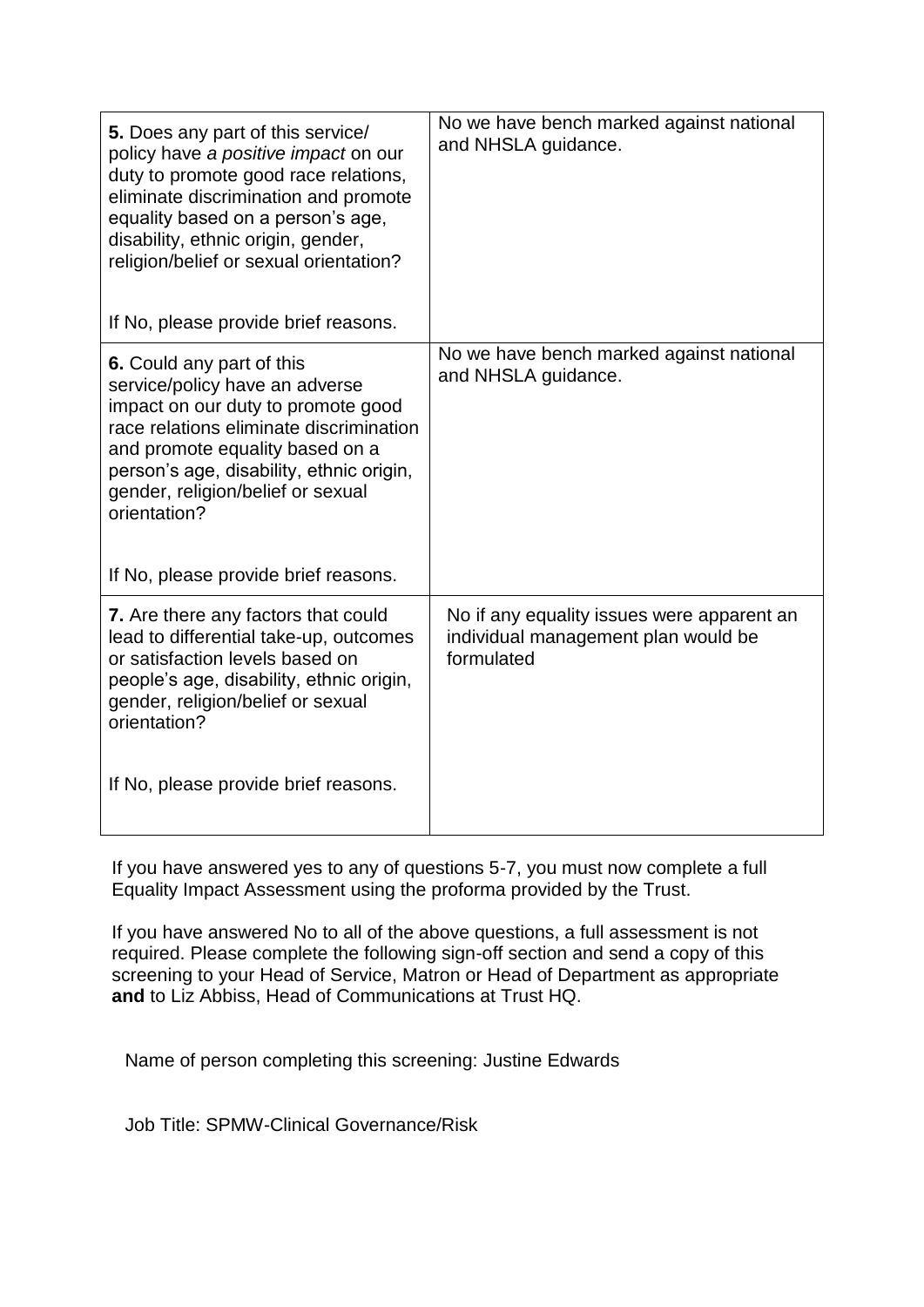| 5. Does any part of this service/<br>policy have a positive impact on our<br>duty to promote good race relations,<br>eliminate discrimination and promote<br>equality based on a person's age,<br>disability, ethnic origin, gender,<br>religion/belief or sexual orientation?          | No we have bench marked against national<br>and NHSLA guidance.                                 |
|-----------------------------------------------------------------------------------------------------------------------------------------------------------------------------------------------------------------------------------------------------------------------------------------|-------------------------------------------------------------------------------------------------|
| If No, please provide brief reasons.                                                                                                                                                                                                                                                    |                                                                                                 |
| <b>6.</b> Could any part of this<br>service/policy have an adverse<br>impact on our duty to promote good<br>race relations eliminate discrimination<br>and promote equality based on a<br>person's age, disability, ethnic origin,<br>gender, religion/belief or sexual<br>orientation? | No we have bench marked against national<br>and NHSLA guidance.                                 |
| If No, please provide brief reasons.                                                                                                                                                                                                                                                    |                                                                                                 |
| 7. Are there any factors that could<br>lead to differential take-up, outcomes<br>or satisfaction levels based on<br>people's age, disability, ethnic origin,<br>gender, religion/belief or sexual<br>orientation?                                                                       | No if any equality issues were apparent an<br>individual management plan would be<br>formulated |
| If No, please provide brief reasons.                                                                                                                                                                                                                                                    |                                                                                                 |

If you have answered yes to any of questions 5-7, you must now complete a full Equality Impact Assessment using the proforma provided by the Trust.

If you have answered No to all of the above questions, a full assessment is not required. Please complete the following sign-off section and send a copy of this screening to your Head of Service, Matron or Head of Department as appropriate **and** to Liz Abbiss, Head of Communications at Trust HQ.

Name of person completing this screening: Justine Edwards

Job Title: SPMW-Clinical Governance/Risk